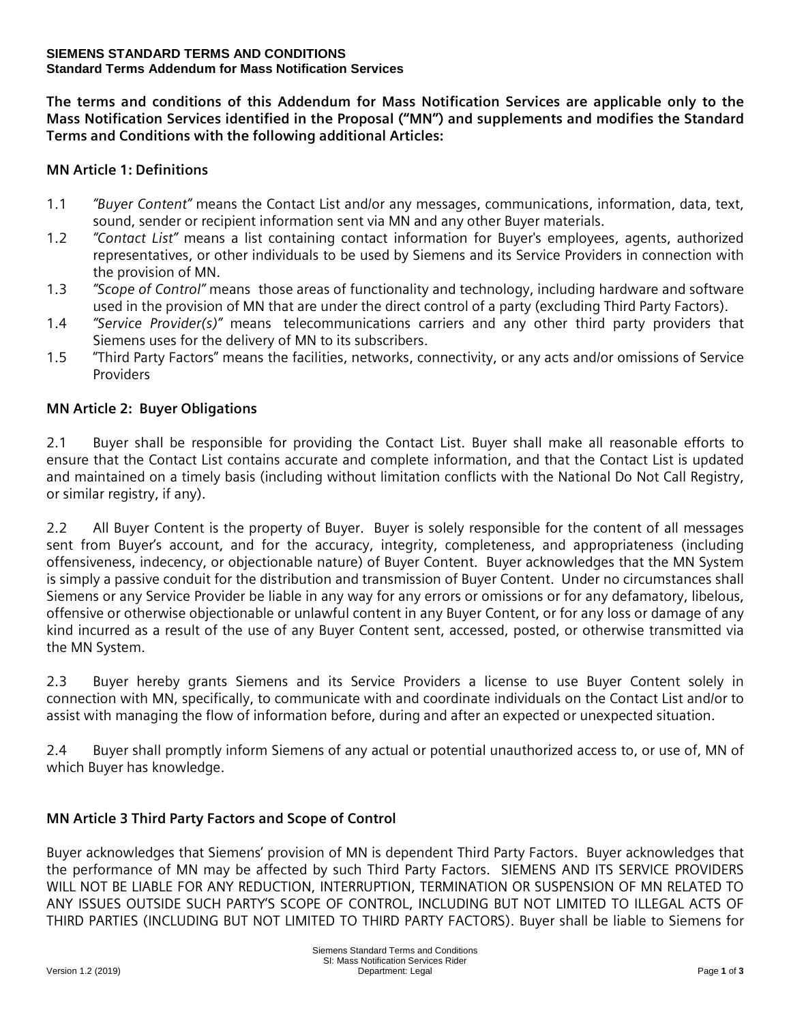#### **SIEMENS STANDARD TERMS AND CONDITIONS Standard Terms Addendum for Mass Notification Services**

**The terms and conditions of this Addendum for Mass Notification Services are applicable only to the Mass Notification Services identified in the Proposal ("MN") and supplements and modifies the Standard Terms and Conditions with the following additional Articles:**

# **MN Article 1: Definitions**

- 1.1 *"Buyer Content"* means the Contact List and/or any messages, communications, information, data, text, sound, sender or recipient information sent via MN and any other Buyer materials.
- 1.2 *"Contact List"* means a list containing contact information for Buyer's employees, agents, authorized representatives, or other individuals to be used by Siemens and its Service Providers in connection with the provision of MN.
- 1.3 *"Scope of Control"* means those areas of functionality and technology, including hardware and software used in the provision of MN that are under the direct control of a party (excluding Third Party Factors).
- 1.4 *"Service Provider(s)"* means telecommunications carriers and any other third party providers that Siemens uses for the delivery of MN to its subscribers.
- 1.5 "Third Party Factors" means the facilities, networks, connectivity, or any acts and/or omissions of Service Providers

## **MN Article 2: Buyer Obligations**

2.1 Buyer shall be responsible for providing the Contact List. Buyer shall make all reasonable efforts to ensure that the Contact List contains accurate and complete information, and that the Contact List is updated and maintained on a timely basis (including without limitation conflicts with the National Do Not Call Registry, or similar registry, if any).

2.2 All Buyer Content is the property of Buyer. Buyer is solely responsible for the content of all messages sent from Buyer's account, and for the accuracy, integrity, completeness, and appropriateness (including offensiveness, indecency, or objectionable nature) of Buyer Content. Buyer acknowledges that the MN System is simply a passive conduit for the distribution and transmission of Buyer Content. Under no circumstances shall Siemens or any Service Provider be liable in any way for any errors or omissions or for any defamatory, libelous, offensive or otherwise objectionable or unlawful content in any Buyer Content, or for any loss or damage of any kind incurred as a result of the use of any Buyer Content sent, accessed, posted, or otherwise transmitted via the MN System.

2.3 Buyer hereby grants Siemens and its Service Providers a license to use Buyer Content solely in connection with MN, specifically, to communicate with and coordinate individuals on the Contact List and/or to assist with managing the flow of information before, during and after an expected or unexpected situation.

2.4 Buyer shall promptly inform Siemens of any actual or potential unauthorized access to, or use of, MN of which Buyer has knowledge.

# **MN Article 3 Third Party Factors and Scope of Control**

Buyer acknowledges that Siemens' provision of MN is dependent Third Party Factors. Buyer acknowledges that the performance of MN may be affected by such Third Party Factors. SIEMENS AND ITS SERVICE PROVIDERS WILL NOT BE LIABLE FOR ANY REDUCTION, INTERRUPTION, TERMINATION OR SUSPENSION OF MN RELATED TO ANY ISSUES OUTSIDE SUCH PARTY'S SCOPE OF CONTROL, INCLUDING BUT NOT LIMITED TO ILLEGAL ACTS OF THIRD PARTIES (INCLUDING BUT NOT LIMITED TO THIRD PARTY FACTORS). Buyer shall be liable to Siemens for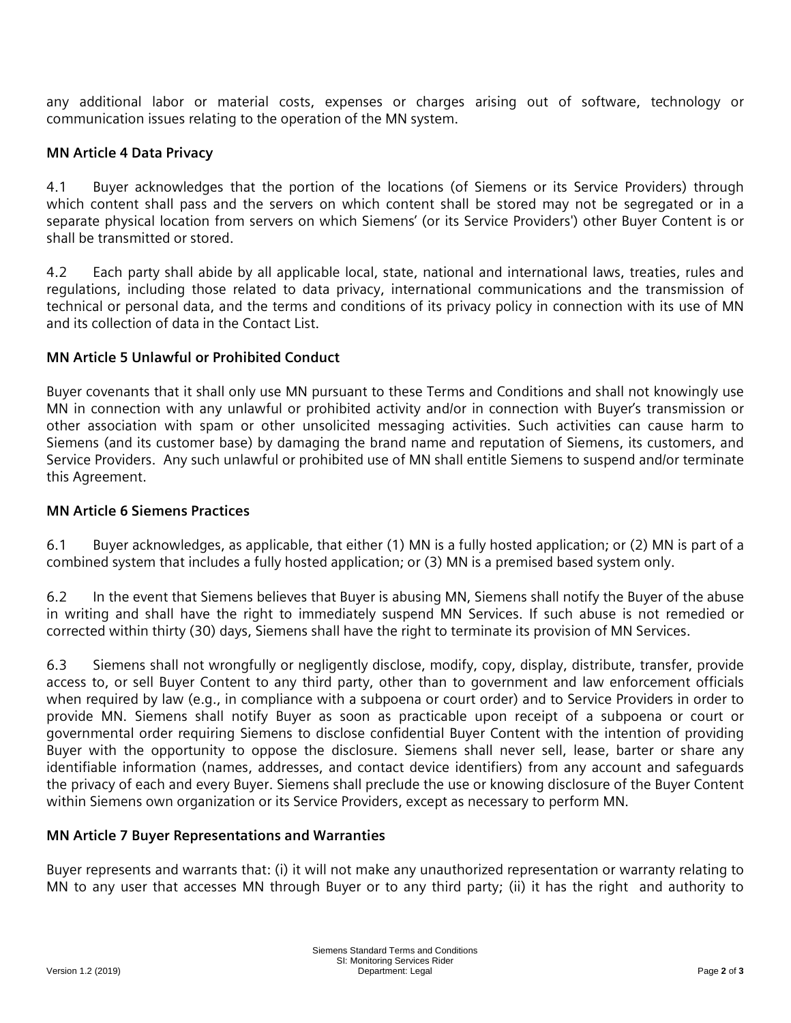any additional labor or material costs, expenses or charges arising out of software, technology or communication issues relating to the operation of the MN system.

## **MN Article 4 Data Privacy**

4.1 Buyer acknowledges that the portion of the locations (of Siemens or its Service Providers) through which content shall pass and the servers on which content shall be stored may not be segregated or in a separate physical location from servers on which Siemens' (or its Service Providers') other Buyer Content is or shall be transmitted or stored.

4.2 Each party shall abide by all applicable local, state, national and international laws, treaties, rules and regulations, including those related to data privacy, international communications and the transmission of technical or personal data, and the terms and conditions of its privacy policy in connection with its use of MN and its collection of data in the Contact List.

### **MN Article 5 Unlawful or Prohibited Conduct**

Buyer covenants that it shall only use MN pursuant to these Terms and Conditions and shall not knowingly use MN in connection with any unlawful or prohibited activity and/or in connection with Buyer's transmission or other association with spam or other unsolicited messaging activities. Such activities can cause harm to Siemens (and its customer base) by damaging the brand name and reputation of Siemens, its customers, and Service Providers. Any such unlawful or prohibited use of MN shall entitle Siemens to suspend and/or terminate this Agreement.

### **MN Article 6 Siemens Practices**

6.1 Buyer acknowledges, as applicable, that either (1) MN is a fully hosted application; or (2) MN is part of a combined system that includes a fully hosted application; or (3) MN is a premised based system only.

6.2 In the event that Siemens believes that Buyer is abusing MN, Siemens shall notify the Buyer of the abuse in writing and shall have the right to immediately suspend MN Services. If such abuse is not remedied or corrected within thirty (30) days, Siemens shall have the right to terminate its provision of MN Services.

6.3 Siemens shall not wrongfully or negligently disclose, modify, copy, display, distribute, transfer, provide access to, or sell Buyer Content to any third party, other than to government and law enforcement officials when required by law (e.g., in compliance with a subpoena or court order) and to Service Providers in order to provide MN. Siemens shall notify Buyer as soon as practicable upon receipt of a subpoena or court or governmental order requiring Siemens to disclose confidential Buyer Content with the intention of providing Buyer with the opportunity to oppose the disclosure. Siemens shall never sell, lease, barter or share any identifiable information (names, addresses, and contact device identifiers) from any account and safeguards the privacy of each and every Buyer. Siemens shall preclude the use or knowing disclosure of the Buyer Content within Siemens own organization or its Service Providers, except as necessary to perform MN.

### **MN Article 7 Buyer Representations and Warranties**

Buyer represents and warrants that: (i) it will not make any unauthorized representation or warranty relating to MN to any user that accesses MN through Buyer or to any third party; (ii) it has the right and authority to